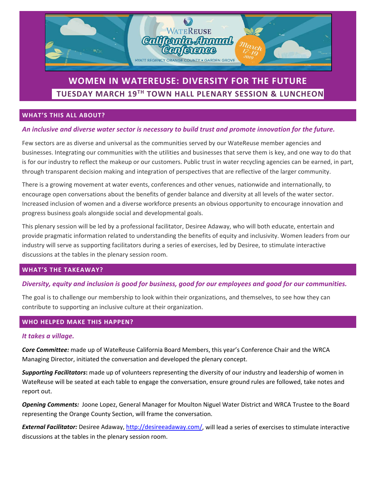

# **WOMEN IN WATEREUSE: DIVERSITY FOR THE FUTURE TUESDAY MARCH 19TH TOWN HALL PLENARY SESSION & LUNCHEON**

### **WHAT'S THIS ALL ABOUT?**

#### *An inclusive and diverse water sector is necessary to build trust and promote innovation for the future.*

Few sectors are as diverse and universal as the communities served by our WateReuse member agencies and businesses. Integrating our communities with the utilities and businesses that serve them is key, and one way to do that is for our industry to reflect the makeup or our customers. Public trust in water recycling agencies can be earned, in part, through transparent decision making and integration of perspectives that are reflective of the larger community.

There is a growing movement at water events, conferences and other venues, nationwide and internationally, to encourage open conversations about the benefits of gender balance and diversity at all levels of the water sector. Increased inclusion of women and a diverse workforce presents an obvious opportunity to encourage innovation and progress business goals alongside social and developmental goals.

This plenary session will be led by a professional facilitator, Desiree [Adaway,](http://desireeadaway.com/) who will both educate, entertain and provide pragmatic information related to understanding the benefits of equity and inclusivity. Women leaders from our industry will serve as supporting facilitators during a series of exercises, led by Desiree, to stimulate interactive discussions at the tables in the plenary session room.

#### **WHAT'S THE TAKEAWAY?**

### *Diversity, equity and inclusion is good for business, good for our employees and good for our communities.*

The goal is to challenge our membership to look within their organizations, and themselves, to see how they can contribute to supporting an inclusive culture at their organization.

#### **WHO HELPED MAKE THIS HAPPEN?**

#### *It takes a village.*

*Core Committee:* made up of WateReuse California Board Members, this year's Conference Chair and the WRCA Managing Director, initiated the conversation and developed the plenary concept.

*Supporting Facilitators***:** made up of volunteers representing the diversity of our industry and leadership of women in WateReuse will be seated at each table to engage the conversation, ensure ground rules are followed, take notes and report out.

*Opening Comments:* Joone Lopez, General Manager for Moulton Niguel Water District and WRCA Trustee to the Board representing the Orange County Section, will frame the conversation.

*External Facilitator:* Desiree [Adaway, http://desireeadaway.com/,](http://desireeadaway.com/) will lead a series of exercises to stimulate interactive discussions at the tables in the plenary session room.